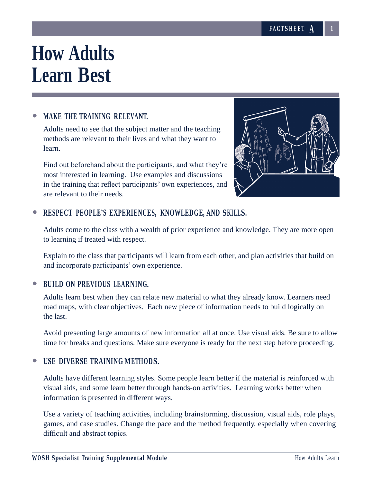# **How Adults Learn Best**

# • **MAKE THE TRAINING RELEVANT.**

Adults need to see that the subject matter and the teaching methods are relevant to their lives and what they want to learn.

Find out beforehand about the participants, and what they're most interested in learning. Use examples and discussions in the training that reflect participants' own experiences, and are relevant to their needs.



# • **RESPECT PEOPLE'S EXPERIENCES, KNOWLEDGE, AND SKILLS.**

Adults come to the class with a wealth of prior experience and knowledge. They are more open to learning if treated with respect.

Explain to the class that participants will learn from each other, and plan activities that build on and incorporate participants' own experience.

### • **BUILD ON PREVIOUS LEARNING.**

Adults learn best when they can relate new material to what they already know. Learners need road maps, with clear objectives. Each new piece of information needs to build logically on the last.

Avoid presenting large amounts of new information all at once. Use visual aids. Be sure to allow time for breaks and questions. Make sure everyone is ready for the next step before proceeding.

### • **USE DIVERSE TRAINING METHODS.**

Adults have different learning styles. Some people learn better if the material is reinforced with visual aids, and some learn better through hands-on activities. Learning works better when information is presented in different ways.

Use a variety of teaching activities, including brainstorming, discussion, visual aids, role plays, games, and case studies. Change the pace and the method frequently, especially when covering difficult and abstract topics.